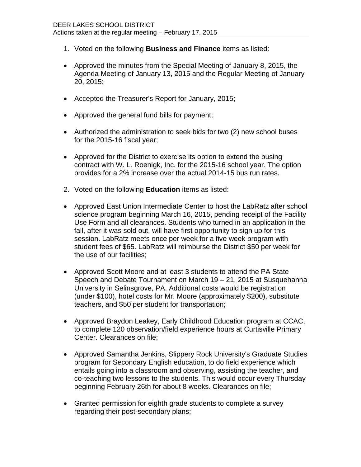- 1. Voted on the following **Business and Finance** items as listed:
- Approved the minutes from the Special Meeting of January 8, 2015, the Agenda Meeting of January 13, 2015 and the Regular Meeting of January 20, 2015;
- Accepted the Treasurer's Report for January, 2015;
- Approved the general fund bills for payment;
- Authorized the administration to seek bids for two (2) new school buses for the 2015-16 fiscal year;
- Approved for the District to exercise its option to extend the busing contract with W. L. Roenigk, Inc. for the 2015-16 school year. The option provides for a 2% increase over the actual 2014-15 bus run rates.
- 2. Voted on the following **Education** items as listed:
- Approved East Union Intermediate Center to host the LabRatz after school science program beginning March 16, 2015, pending receipt of the Facility Use Form and all clearances. Students who turned in an application in the fall, after it was sold out, will have first opportunity to sign up for this session. LabRatz meets once per week for a five week program with student fees of \$65. LabRatz will reimburse the District \$50 per week for the use of our facilities;
- Approved Scott Moore and at least 3 students to attend the PA State Speech and Debate Tournament on March 19 – 21, 2015 at Susquehanna University in Selinsgrove, PA. Additional costs would be registration (under \$100), hotel costs for Mr. Moore (approximately \$200), substitute teachers, and \$50 per student for transportation;
- Approved Braydon Leakey, Early Childhood Education program at CCAC, to complete 120 observation/field experience hours at Curtisville Primary Center. Clearances on file;
- Approved Samantha Jenkins, Slippery Rock University's Graduate Studies program for Secondary English education, to do field experience which entails going into a classroom and observing, assisting the teacher, and co-teaching two lessons to the students. This would occur every Thursday beginning February 26th for about 8 weeks. Clearances on file;
- Granted permission for eighth grade students to complete a survey regarding their post-secondary plans;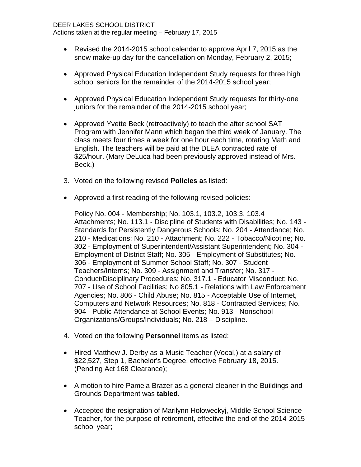- Revised the 2014-2015 school calendar to approve April 7, 2015 as the snow make-up day for the cancellation on Monday, February 2, 2015;
- Approved Physical Education Independent Study requests for three high school seniors for the remainder of the 2014-2015 school year;
- Approved Physical Education Independent Study requests for thirty-one juniors for the remainder of the 2014-2015 school year;
- Approved Yvette Beck (retroactively) to teach the after school SAT Program with Jennifer Mann which began the third week of January. The class meets four times a week for one hour each time, rotating Math and English. The teachers will be paid at the DLEA contracted rate of \$25/hour. (Mary DeLuca had been previously approved instead of Mrs. Beck.)
- 3. Voted on the following revised **Policies a**s listed:
- Approved a first reading of the following revised policies:

Policy No. 004 - Membership; No. 103.1, 103.2, 103.3, 103.4 Attachments; No. 113.1 - Discipline of Students with Disabilities; No. 143 - Standards for Persistently Dangerous Schools; No. 204 - Attendance; No. 210 - Medications; No. 210 - Attachment; No. 222 - Tobacco/Nicotine; No. 302 - Employment of Superintendent/Assistant Superintendent; No. 304 - Employment of District Staff; No. 305 - Employment of Substitutes; No. 306 - Employment of Summer School Staff; No. 307 - Student Teachers/Interns; No. 309 - Assignment and Transfer; No. 317 - Conduct/Disciplinary Procedures; No. 317.1 - Educator Misconduct; No. 707 - Use of School Facilities; No 805.1 - Relations with Law Enforcement Agencies; No. 806 - Child Abuse; No. 815 - Acceptable Use of Internet, Computers and Network Resources; No. 818 - Contracted Services; No. 904 - Public Attendance at School Events; No. 913 - Nonschool Organizations/Groups/Individuals; No. 218 – Discipline.

- 4. Voted on the following **Personnel** items as listed:
- Hired Matthew J. Derby as a Music Teacher (Vocal,) at a salary of \$22,527, Step 1, Bachelor's Degree, effective February 18, 2015. (Pending Act 168 Clearance);
- A motion to hire Pamela Brazer as a general cleaner in the Buildings and Grounds Department was **tabled**.
- Accepted the resignation of Marilynn Holoweckyj, Middle School Science Teacher, for the purpose of retirement, effective the end of the 2014-2015 school year;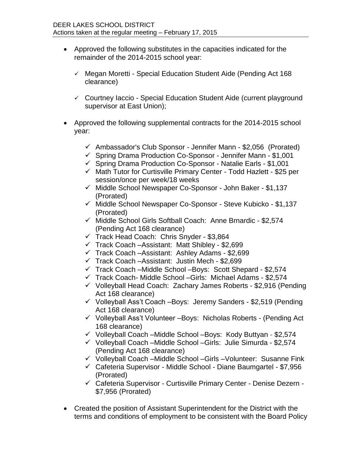- Approved the following substitutes in the capacities indicated for the remainder of the 2014-2015 school year:
	- $\checkmark$  Megan Moretti Special Education Student Aide (Pending Act 168) clearance)
	- $\checkmark$  Courtney Iaccio Special Education Student Aide (current playground supervisor at East Union);
- Approved the following supplemental contracts for the 2014-2015 school year:
	- $\checkmark$  Ambassador's Club Sponsor Jennifer Mann \$2,056 (Prorated)
	- $\checkmark$  Spring Drama Production Co-Sponsor Jennifer Mann \$1,001
	- $\checkmark$  Spring Drama Production Co-Sponsor Natalie Earls \$1,001
	- $\checkmark$  Math Tutor for Curtisville Primary Center Todd Hazlett \$25 per session/once per week/18 weeks
	- $\checkmark$  Middle School Newspaper Co-Sponsor John Baker \$1,137 (Prorated)
	- $\checkmark$  Middle School Newspaper Co-Sponsor Steve Kubicko \$1,137 (Prorated)
	- $\checkmark$  Middle School Girls Softball Coach: Anne Brnardic \$2,574 (Pending Act 168 clearance)
	- $\checkmark$  Track Head Coach: Chris Snyder \$3,864
	- $\checkmark$  Track Coach –Assistant: Matt Shibley \$2,699
	- $\checkmark$  Track Coach –Assistant: Ashley Adams \$2,699
	- $\checkmark$  Track Coach Assistant: Justin Mech \$2,699
	- $\checkmark$  Track Coach –Middle School –Boys: Scott Shepard \$2,574
	- $\checkmark$  Track Coach- Middle School -Girls: Michael Adams \$2,574
	- $\checkmark$  Volleyball Head Coach: Zachary James Roberts \$2,916 (Pending Act 168 clearance)
	- $\checkmark$  Volleyball Ass't Coach Boys: Jeremy Sanders \$2,519 (Pending Act 168 clearance)
	- $\checkmark$  Volleyball Ass't Volunteer Boys: Nicholas Roberts (Pending Act 168 clearance)
	- $\checkmark$  Volleyball Coach –Middle School –Boys: Kody Buttyan \$2,574
	- $\checkmark$  Volleyball Coach –Middle School –Girls: Julie Simurda \$2,574 (Pending Act 168 clearance)
	- Volleyball Coach –Middle School –Girls –Volunteer: Susanne Fink
	- Cafeteria Supervisor Middle School Diane Baumgartel \$7,956 (Prorated)
	- Cafeteria Supervisor Curtisville Primary Center Denise Dezern \$7,956 (Prorated)
- Created the position of Assistant Superintendent for the District with the terms and conditions of employment to be consistent with the Board Policy